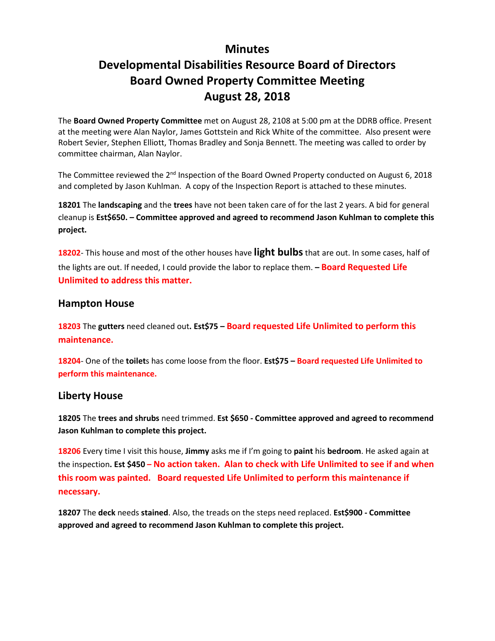## **Minutes**

# **Developmental Disabilities Resource Board of Directors Board Owned Property Committee Meeting August 28, 2018**

The **Board Owned Property Committee** met on August 28, 2108 at 5:00 pm at the DDRB office. Present at the meeting were Alan Naylor, James Gottstein and Rick White of the committee. Also present were Robert Sevier, Stephen Elliott, Thomas Bradley and Sonja Bennett. The meeting was called to order by committee chairman, Alan Naylor.

The Committee reviewed the 2<sup>nd</sup> Inspection of the Board Owned Property conducted on August 6, 2018 and completed by Jason Kuhlman. A copy of the Inspection Report is attached to these minutes.

**18201** The **landscaping** and the **trees** have not been taken care of for the last 2 years. A bid for general cleanup is **Est\$650. – Committee approved and agreed to recommend Jason Kuhlman to complete this project.**

**18202**- This house and most of the other houses have **light bulbs**that are out. In some cases, half of the lights are out. If needed, I could provide the labor to replace them. **– Board Requested Life Unlimited to address this matter.** 

## **Hampton House**

**18203** The **gutters** need cleaned out**. Est\$75 – Board requested Life Unlimited to perform this maintenance.**

**18204**- One of the **toilet**s has come loose from the floor. **Est\$75 – Board requested Life Unlimited to perform this maintenance.**

## **Liberty House**

**18205** The **trees and shrubs** need trimmed. **Est \$650 - Committee approved and agreed to recommend Jason Kuhlman to complete this project.**

**18206** Every time I visit this house, **Jimmy** asks me if I'm going to **paint** his **bedroom**. He asked again at the inspection**. Est \$450 – No action taken. Alan to check with Life Unlimited to see if and when this room was painted. Board requested Life Unlimited to perform this maintenance if necessary.**

**18207** The **deck** needs **stained**. Also, the treads on the steps need replaced. **Est\$900 - Committee approved and agreed to recommend Jason Kuhlman to complete this project.**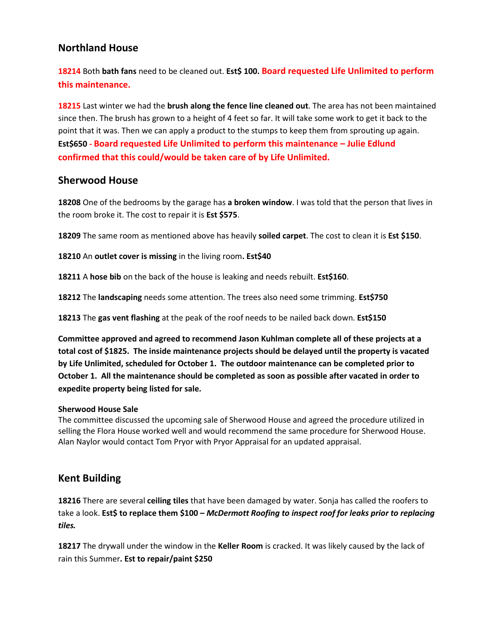## **Northland House**

**18214** Both **bath fans** need to be cleaned out. **Est\$ 100. Board requested Life Unlimited to perform this maintenance.**

**18215** Last winter we had the **brush along the fence line cleaned out**. The area has not been maintained since then. The brush has grown to a height of 4 feet so far. It will take some work to get it back to the point that it was. Then we can apply a product to the stumps to keep them from sprouting up again. **Est\$650 - Board requested Life Unlimited to perform this maintenance – Julie Edlund confirmed that this could/would be taken care of by Life Unlimited.**

### **Sherwood House**

**18208** One of the bedrooms by the garage has **a broken window**. I was told that the person that lives in the room broke it. The cost to repair it is **Est \$575**.

**18209** The same room as mentioned above has heavily **soiled carpet**. The cost to clean it is **Est \$150**.

**18210** An **outlet cover is missing** in the living room**. Est\$40**

**18211** A **hose bib** on the back of the house is leaking and needs rebuilt. **Est\$160**.

**18212** The **landscaping** needs some attention. The trees also need some trimming. **Est\$750**

**18213** The **gas vent flashing** at the peak of the roof needs to be nailed back down. **Est\$150**

**Committee approved and agreed to recommend Jason Kuhlman complete all of these projects at a total cost of \$1825. The inside maintenance projects should be delayed until the property is vacated by Life Unlimited, scheduled for October 1. The outdoor maintenance can be completed prior to October 1. All the maintenance should be completed as soon as possible after vacated in order to expedite property being listed for sale.**

#### **Sherwood House Sale**

The committee discussed the upcoming sale of Sherwood House and agreed the procedure utilized in selling the Flora House worked well and would recommend the same procedure for Sherwood House. Alan Naylor would contact Tom Pryor with Pryor Appraisal for an updated appraisal.

## **Kent Building**

**18216** There are several **ceiling tiles** that have been damaged by water. Sonja has called the roofers to take a look. **Est\$ to replace them \$100 –** *McDermott Roofing to inspect roof for leaks prior to replacing tiles.* 

**18217** The drywall under the window in the **Keller Room** is cracked. It was likely caused by the lack of rain this Summer**. Est to repair/paint \$250**